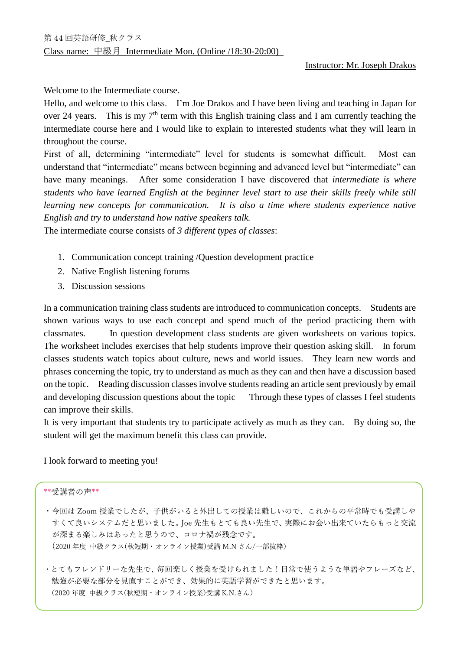Welcome to the Intermediate course.

Hello, and welcome to this class. I'm Joe Drakos and I have been living and teaching in Japan for over 24 years. This is my  $7<sup>th</sup>$  term with this English training class and I am currently teaching the intermediate course here and I would like to explain to interested students what they will learn in throughout the course.

First of all, determining "intermediate" level for students is somewhat difficult. Most can understand that "intermediate" means between beginning and advanced level but "intermediate" can have many meanings. After some consideration I have discovered that *intermediate is where students who have learned English at the beginner level start to use their skills freely while still learning new concepts for communication. It is also a time where students experience native English and try to understand how native speakers talk.*

The intermediate course consists of *3 different types of classes*:

- 1. Communication concept training /Question development practice
- 2. Native English listening forums
- 3. Discussion sessions

In a communication training class students are introduced to communication concepts. Students are shown various ways to use each concept and spend much of the period practicing them with classmates. In question development class students are given worksheets on various topics. The worksheet includes exercises that help students improve their question asking skill. In forum classes students watch topics about culture, news and world issues. They learn new words and phrases concerning the topic, try to understand as much as they can and then have a discussion based on the topic. Reading discussion classes involve students reading an article sent previously by email and developing discussion questions about the topic Through these types of classes I feel students can improve their skills.

It is very important that students try to participate actively as much as they can. By doing so, the student will get the maximum benefit this class can provide.

I look forward to meeting you!

## \*\*受講者の声\*\*

- ・今回は Zoom 授業でしたが、子供がいると外出しての授業は難しいので、これからの平常時でも受講しや すくて良いシステムだと思いました。Joe 先生もとても良い先生で、実際にお会い出来ていたらもっと交流 が深まる楽しみはあったと思うので、コロナ禍が残念です。 (2020 年度 中級クラス(秋短期・オンライン授業)受講 M.N さん/一部抜粋)
- ・とてもフレンドリーな先生で、毎回楽しく授業を受けられました!日常で使うような単語やフレーズなど、 勉強が必要な部分を見直すことができ、効果的に英語学習ができたと思います。 (2020 年度 中級クラス(秋短期・オンライン授業)受講 K.N.さん)